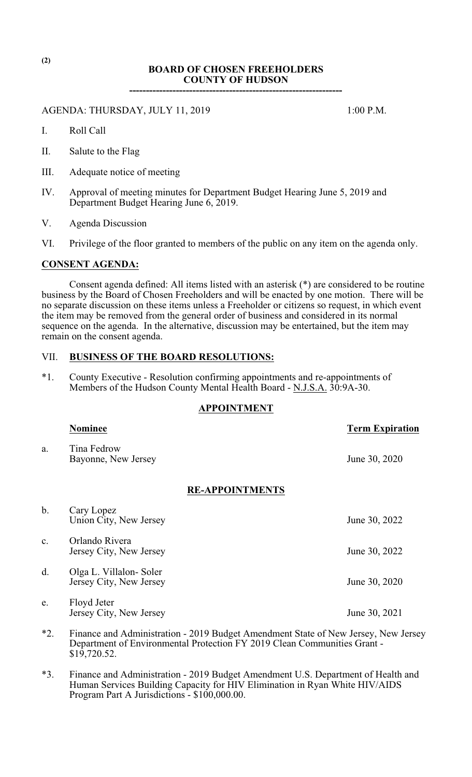# **BOARD OF CHOSEN FREEHOLDERS COUNTY OF HUDSON**

**----------------------------------------------------------------**

## AGENDA: THURSDAY, JULY 11, 2019 1:00 P.M.

- I. Roll Call
- II. Salute to the Flag
- III. Adequate notice of meeting
- IV. Approval of meeting minutes for Department Budget Hearing June 5, 2019 and Department Budget Hearing June 6, 2019.
- V. Agenda Discussion
- VI. Privilege of the floor granted to members of the public on any item on the agenda only.

#### **CONSENT AGENDA:**

Consent agenda defined: All items listed with an asterisk (\*) are considered to be routine business by the Board of Chosen Freeholders and will be enacted by one motion. There will be no separate discussion on these items unless a Freeholder or citizens so request, in which event the item may be removed from the general order of business and considered in its normal sequence on the agenda. In the alternative, discussion may be entertained, but the item may remain on the consent agenda.

## VII. **BUSINESS OF THE BOARD RESOLUTIONS:**

\*1. County Executive - Resolution confirming appointments and re-appointments of Members of the Hudson County Mental Health Board - N.J.S.A.  $30:9A-30$ .

## **APPOINTMENT**

|                | <b>Nominee</b>                                                                    | <b>Term Expiration</b> |
|----------------|-----------------------------------------------------------------------------------|------------------------|
| a.             | Tina Fedrow<br>Bayonne, New Jersey                                                | June 30, 2020          |
|                | <b>RE-APPOINTMENTS</b>                                                            |                        |
| b.             | Cary Lopez<br>Union City, New Jersey                                              | June 30, 2022          |
| $\mathbf{c}$ . | Orlando Rivera<br>Jersey City, New Jersey                                         | June 30, 2022          |
| d.             | Olga L. Villalon-Soler<br>Jersey City, New Jersey                                 | June 30, 2020          |
| e.             | Floyd Jeter<br>Jersey City, New Jersey                                            | June 30, 2021          |
| $*2.$          | Finance and Administration - 2019 Budget Amendment State of New Jersey, New Jerse |                        |

- \*2. Finance and Administration 2019 Budget Amendment State of New Jersey, New Jersey Department of Environmental Protection FY 2019 Clean Communities Grant -  $$19,720.52.$
- \*3. Finance and Administration 2019 Budget Amendment U.S. Department of Health and Human Services Building Capacity for HIV Elimination in Ryan White HIV/AIDS Program Part A Jurisdictions - \$100,000.00.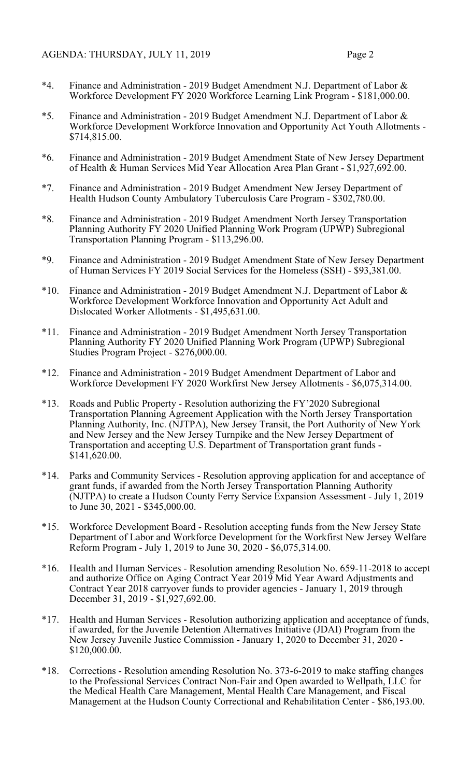- \*4. Finance and Administration 2019 Budget Amendment N.J. Department of Labor & Workforce Development FY 2020 Workforce Learning Link Program - \$181,000.00.
- \*5. Finance and Administration 2019 Budget Amendment N.J. Department of Labor & Workforce Development Workforce Innovation and Opportunity Act Youth Allotments - \$714,815.00.
- \*6. Finance and Administration 2019 Budget Amendment State of New Jersey Department of Health & Human Services Mid Year Allocation Area Plan Grant - \$1,927,692.00.
- \*7. Finance and Administration 2019 Budget Amendment New Jersey Department of Health Hudson County Ambulatory Tuberculosis Care Program - \$302,780.00.
- \*8. Finance and Administration 2019 Budget Amendment North Jersey Transportation Planning Authority FY 2020 Unified Planning Work Program (UPWP) Subregional Transportation Planning Program - \$113,296.00.
- \*9. Finance and Administration 2019 Budget Amendment State of New Jersey Department of Human Services FY 2019 Social Services for the Homeless (SSH) - \$93,381.00.
- $*10.$  Finance and Administration 2019 Budget Amendment N.J. Department of Labor  $\&$ Workforce Development Workforce Innovation and Opportunity Act Adult and Dislocated Worker Allotments - \$1,495,631.00.
- \*11. Finance and Administration 2019 Budget Amendment North Jersey Transportation Planning Authority FY 2020 Unified Planning Work Program (UPWP) Subregional Studies Program Project - \$276,000.00.
- \*12. Finance and Administration 2019 Budget Amendment Department of Labor and Workforce Development FY 2020 Workfirst New Jersey Allotments - \$6,075,314.00.
- \*13. Roads and Public Property Resolution authorizing the FY'2020 Subregional Transportation Planning Agreement Application with the North Jersey Transportation Planning Authority, Inc. (NJTPA), New Jersey Transit, the Port Authority of New York and New Jersey and the New Jersey Turnpike and the New Jersey Department of Transportation and accepting U.S. Department of Transportation grant funds - \$141,620.00.
- \*14. Parks and Community Services Resolution approving application for and acceptance of grant funds, if awarded from the North Jersey Transportation Planning Authority (NJTPA) to create a Hudson County Ferry Service Expansion Assessment - July 1, 2019 to June 30, 2021 - \$345,000.00.
- \*15. Workforce Development Board Resolution accepting funds from the New Jersey State Department of Labor and Workforce Development for the Workfirst New Jersey Welfare Reform Program - July 1, 2019 to June 30, 2020 - \$6,075,314.00.
- \*16. Health and Human Services Resolution amending Resolution No. 659-11-2018 to accept and authorize Office on Aging Contract Year 2019 Mid Year Award Adjustments and Contract Year 2018 carryover funds to provider agencies - January 1, 2019 through December 31, 2019 - \$1,927,692.00.
- \*17. Health and Human Services Resolution authorizing application and acceptance of funds, if awarded, for the Juvenile Detention Alternatives Initiative (JDAI) Program from the New Jersey Juvenile Justice Commission - January 1, 2020 to December 31, 2020 - \$120,000.00.
- \*18. Corrections Resolution amending Resolution No. 373-6-2019 to make staffing changes to the Professional Services Contract Non-Fair and Open awarded to Wellpath, LLC for the Medical Health Care Management, Mental Health Care Management, and Fiscal Management at the Hudson County Correctional and Rehabilitation Center - \$86,193.00.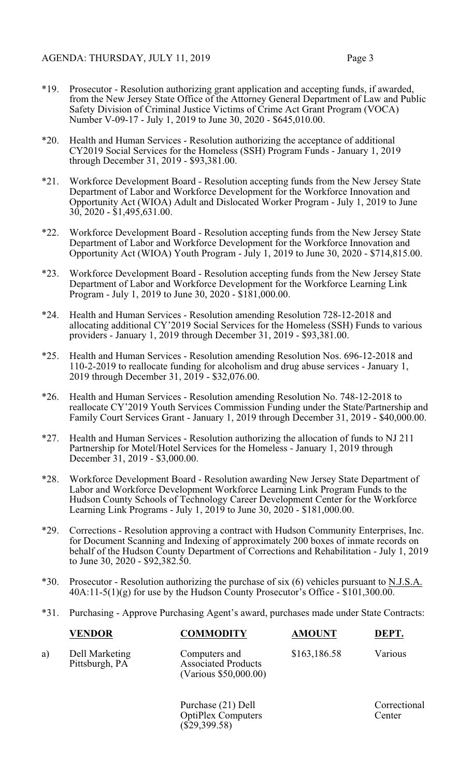- \*19. Prosecutor Resolution authorizing grant application and accepting funds, if awarded, from the New Jersey State Office of the Attorney General Department of Law and Public Safety Division of Criminal Justice Victims of Crime Act Grant Program (VOCA) Number V-09-17 - July 1, 2019 to June 30, 2020 - \$645,010.00.
- \*20. Health and Human Services Resolution authorizing the acceptance of additional CY2019 Social Services for the Homeless (SSH) Program Funds - January 1, 2019 through December 31, 2019 - \$93,381.00.
- \*21. Workforce Development Board Resolution accepting funds from the New Jersey State Department of Labor and Workforce Development for the Workforce Innovation and Opportunity Act (WIOA) Adult and Dislocated Worker Program - July 1, 2019 to June 30, 2020 - \$1,495,631.00.
- \*22. Workforce Development Board Resolution accepting funds from the New Jersey State Department of Labor and Workforce Development for the Workforce Innovation and Opportunity Act (WIOA) Youth Program - July 1, 2019 to June 30, 2020 - \$714,815.00.
- \*23. Workforce Development Board Resolution accepting funds from the New Jersey State Department of Labor and Workforce Development for the Workforce Learning Link Program - July 1, 2019 to June 30, 2020 - \$181,000.00.
- \*24. Health and Human Services Resolution amending Resolution 728-12-2018 and allocating additional CY'2019 Social Services for the Homeless (SSH) Funds to various providers - January 1, 2019 through December 31, 2019 - \$93,381.00.
- \*25. Health and Human Services Resolution amending Resolution Nos. 696-12-2018 and 110-2-2019 to reallocate funding for alcoholism and drug abuse services - January 1, 2019 through December 31, 2019 - \$32,076.00.
- \*26. Health and Human Services Resolution amending Resolution No. 748-12-2018 to reallocate CY'2019 Youth Services Commission Funding under the State/Partnership and Family Court Services Grant - January 1, 2019 through December 31, 2019 - \$40,000.00.
- \*27. Health and Human Services Resolution authorizing the allocation of funds to NJ 211 Partnership for Motel/Hotel Services for the Homeless - January 1, 2019 through December 31, 2019 - \$3,000.00.
- \*28. Workforce Development Board Resolution awarding New Jersey State Department of Labor and Workforce Development Workforce Learning Link Program Funds to the Hudson County Schools of Technology Career Development Center for the Workforce Learning Link Programs - July 1, 2019 to June 30, 2020 - \$181,000.00.
- \*29. Corrections Resolution approving a contract with Hudson Community Enterprises, Inc. for Document Scanning and Indexing of approximately 200 boxes of inmate records on behalf of the Hudson County Department of Corrections and Rehabilitation - July 1, 2019 to June 30, 2020 - \$92,382.50.
- \*30. Prosecutor Resolution authorizing the purchase of six (6) vehicles pursuant to N.J.S.A.  $40A:11-5(1)(g)$  for use by the Hudson County Prosecutor's Office - \$101,300.00.
- \*31. Purchasing Approve Purchasing Agent's award, purchases made under State Contracts:

|    | <b>VENDOR</b>                    | <b>COMMODITY</b>                                                     | <b>AMOUNT</b> | DEPT.                  |
|----|----------------------------------|----------------------------------------------------------------------|---------------|------------------------|
| a) | Dell Marketing<br>Pittsburgh, PA | Computers and<br><b>Associated Products</b><br>(Various \$50,000.00) | \$163,186.58  | Various                |
|    |                                  | Purchase (21) Dell<br><b>OptiPlex Computers</b>                      |               | Correctional<br>Center |

 $(\bar{$}29,399.58)$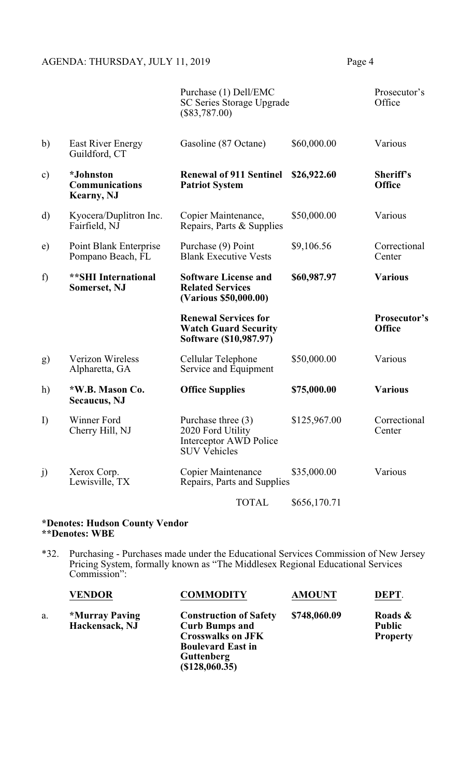# AGENDA: THURSDAY, JULY 11, 2019 Page 4

|          |                                                         | Purchase (1) Dell/EMC<br><b>SC Series Storage Upgrade</b><br>$(\$83,787.00)$               |              | Prosecutor's<br>Office        |
|----------|---------------------------------------------------------|--------------------------------------------------------------------------------------------|--------------|-------------------------------|
| b)       | <b>East River Energy</b><br>Guildford, CT               | Gasoline (87 Octane)                                                                       | \$60,000.00  | Various                       |
| $\circ)$ | *Johnston<br><b>Communications</b><br><b>Kearny, NJ</b> | <b>Renewal of 911 Sentinel</b><br><b>Patriot System</b>                                    | \$26,922.60  | Sheriff's<br><b>Office</b>    |
| d)       | Kyocera/Duplitron Inc.<br>Fairfield, NJ                 | Copier Maintenance,<br>Repairs, Parts & Supplies                                           | \$50,000.00  | Various                       |
| e)       | Point Blank Enterprise<br>Pompano Beach, FL             | Purchase (9) Point<br><b>Blank Executive Vests</b>                                         | \$9,106.56   | Correctional<br>Center        |
| f)       | <b>**SHI International</b><br><b>Somerset, NJ</b>       | <b>Software License and</b><br><b>Related Services</b><br>(Various \$50,000.00)            | \$60,987.97  | <b>Various</b>                |
|          |                                                         | <b>Renewal Services for</b><br><b>Watch Guard Security</b><br>Software (\$10,987.97)       |              | Prosecutor's<br><b>Office</b> |
| g)       | <b>Verizon Wireless</b><br>Alpharetta, GA               | Cellular Telephone<br>Service and Equipment                                                | \$50,000.00  | Various                       |
| h)       | *W.B. Mason Co.<br><b>Secaucus</b> , NJ                 | <b>Office Supplies</b>                                                                     | \$75,000.00  | <b>Various</b>                |
| I)       | Winner Ford<br>Cherry Hill, NJ                          | Purchase three $(3)$<br>2020 Ford Utility<br>Interceptor AWD Police<br><b>SUV Vehicles</b> | \$125,967.00 | Correctional<br>Center        |
| j)       | Xerox Corp.<br>Lewisville, TX                           | <b>Copier Maintenance</b><br>Repairs, Parts and Supplies                                   | \$35,000.00  | Various                       |
|          |                                                         | <b>TOTAL</b>                                                                               | \$656,170.71 |                               |

#### **\*Denotes: Hudson County Vendor \*\*Denotes: WBE**

\*32. Purchasing - Purchases made under the Educational Services Commission of New Jersey Pricing System, formally known as "The Middlesex Regional Educational Services Commission":

| <b>VENDOR</b>                    | <b>COMMODITY</b>                                                                                                                    | <b>AMOUNT</b>  | DEPT.                                       |
|----------------------------------|-------------------------------------------------------------------------------------------------------------------------------------|----------------|---------------------------------------------|
| *Murray Paving<br>Hackensack, NJ | <b>Construction of Safety</b><br><b>Curb Bumps and</b><br><b>Crosswalks on JFK</b><br><b>Boulevard East in</b><br><b>Guttenberg</b> | \$748,060.09   | Roads &<br><b>Public</b><br><b>Property</b> |
|                                  |                                                                                                                                     | (\$128,060.35) |                                             |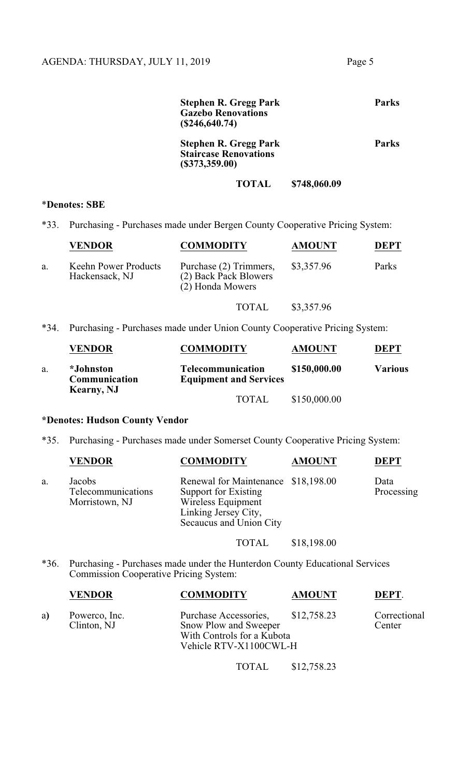| <b>Stephen R. Gregg Park</b><br><b>Gazebo Renovations</b><br>(\$246,640.74)    |              | Parks |
|--------------------------------------------------------------------------------|--------------|-------|
| <b>Stephen R. Gregg Park</b><br><b>Staircase Renovations</b><br>(\$373,359.00) |              | Parks |
| TOTAL                                                                          | \$748,060.09 |       |

#### \***Denotes: SBE**

\*33. Purchasing - Purchases made under Bergen County Cooperative Pricing System:

|    | <b>VENDOR</b>                          | <b>COMMODITY</b>                                                    | <b>AMOUNT</b> | <b>DEPT</b> |
|----|----------------------------------------|---------------------------------------------------------------------|---------------|-------------|
| a. | Keehn Power Products<br>Hackensack, NJ | Purchase (2) Trimmers,<br>(2) Back Pack Blowers<br>(2) Honda Mowers | \$3,357.96    | Parks       |
|    |                                        | TOTAL                                                               | \$3,357.96    |             |

\*34. Purchasing - Purchases made under Union County Cooperative Pricing System:

|    | <b>VENDOR</b>                                           | <b>COMMODITY</b>                                          | <b>AMOUNT</b> | DEPT    |
|----|---------------------------------------------------------|-----------------------------------------------------------|---------------|---------|
| a. | <i>*Johnston</i><br>Communication<br><b>Kearny</b> , NJ | <b>Telecommunication</b><br><b>Equipment and Services</b> | \$150,000.00  | Various |
|    |                                                         | <b>TOTAL</b>                                              | \$150,000.00  |         |

# **\*Denotes: Hudson County Vendor**

\*35. Purchasing - Purchases made under Somerset County Cooperative Pricing System:

|    | <b>VENDOR</b>                                  | <b>COMMODITY</b>                                                                                                                     | <b>AMOUNT</b> | <b>DEPT</b>        |
|----|------------------------------------------------|--------------------------------------------------------------------------------------------------------------------------------------|---------------|--------------------|
| a. | Jacobs<br>Telecommunications<br>Morristown, NJ | Renewal for Maintenance \$18,198.00<br>Support for Existing<br>Wireless Equipment<br>Linking Jersey City,<br>Secaucus and Union City |               | Data<br>Processing |

# TOTAL \$18,198.00

\*36. Purchasing - Purchases made under the Hunterdon County Educational Services Commission Cooperative Pricing System:

|  | <b>VENDOR</b> | <b>COMMODITY</b> | <b>AMOUNT</b> | DEPT |
|--|---------------|------------------|---------------|------|
|--|---------------|------------------|---------------|------|

a) Powerco, Inc. Purchase Accessories, \$12,758.23 Correctional Clinton, NJ Snow Plow and Sweeper Center Snow Plow and Sweeper With Controls for a Kubota Vehicle RTV-X1100CWL-H

TOTAL \$12,758.23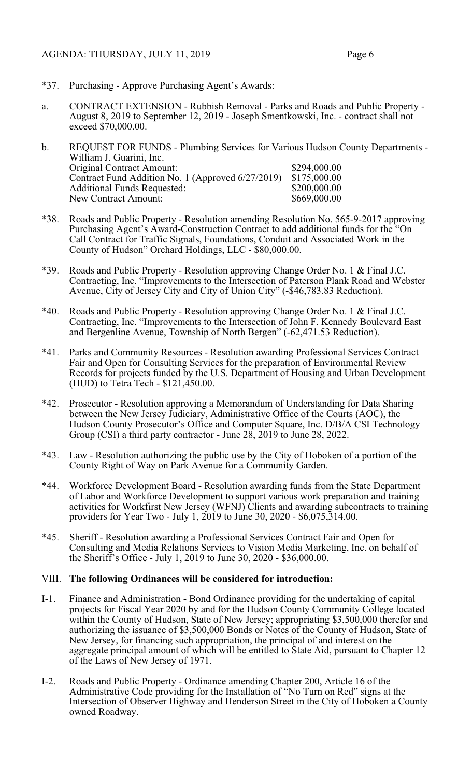- \*37. Purchasing Approve Purchasing Agent's Awards:
- a. CONTRACT EXTENSION Rubbish Removal Parks and Roads and Public Property August 8, 2019 to September 12, 2019 - Joseph Smentkowski, Inc. - contract shall not exceed \$70,000.00.
- b. REQUEST FOR FUNDS Plumbing Services for Various Hudson County Departments William J. Guarini, Inc. Original Contract Amount: \$294,000.00<br>Contract Fund Addition No. 1 (Approved 6/27/2019) \$175,000.00 Contract Fund Addition No. 1 (Approved 6/27/2019) \$175,000.00<br>Additional Funds Requested: \$200,000.00 Additional Funds Requested: \$200,000.00<br>New Contract Amount: \$669,000.00 New Contract Amount:
- \*38. Roads and Public Property Resolution amending Resolution No. 565-9-2017 approving Purchasing Agent's Award-Construction Contract to add additional funds for the "On Call Contract for Traffic Signals, Foundations, Conduit and Associated Work in the County of Hudson" Orchard Holdings, LLC - \$80,000.00.
- \*39. Roads and Public Property Resolution approving Change Order No. 1 & Final J.C. Contracting, Inc. "Improvements to the Intersection of Paterson Plank Road and Webster Avenue, City of Jersey City and City of Union City" (-\$46,783.83 Reduction).
- \*40. Roads and Public Property Resolution approving Change Order No. 1 & Final J.C. Contracting, Inc. "Improvements to the Intersection of John F. Kennedy Boulevard East and Bergenline Avenue, Township of North Bergen" (-62,471.53 Reduction).
- \*41. Parks and Community Resources Resolution awarding Professional Services Contract Fair and Open for Consulting Services for the preparation of Environmental Review Records for projects funded by the U.S. Department of Housing and Urban Development (HUD) to Tetra Tech - \$121,450.00.
- \*42. Prosecutor Resolution approving a Memorandum of Understanding for Data Sharing between the New Jersey Judiciary, Administrative Office of the Courts (AOC), the Hudson County Prosecutor's Office and Computer Square, Inc. D/B/A CSI Technology Group (CSI) a third party contractor - June  $28$ ,  $2019$  to June 28, 2022.
- \*43. Law Resolution authorizing the public use by the City of Hoboken of a portion of the County Right of Way on Park Avenue for a Community Garden.
- \*44. Workforce Development Board Resolution awarding funds from the State Department of Labor and Workforce Development to support various work preparation and training activities for Workfirst New Jersey (WFNJ) Clients and awarding subcontracts to training providers for Year Two - July 1, 2019 to June 30, 2020 - \$6,075,314.00.
- \*45. Sheriff Resolution awarding a Professional Services Contract Fair and Open for Consulting and Media Relations Services to Vision Media Marketing, Inc. on behalf of the Sheriff's Office - July 1, 2019 to June 30, 2020 - \$36,000.00.

## VIII. **The following Ordinances will be considered for introduction:**

- I-1. Finance and Administration Bond Ordinance providing for the undertaking of capital projects for Fiscal Year 2020 by and for the Hudson County Community College located within the County of Hudson, State of New Jersey; appropriating \$3,500,000 therefor and authorizing the issuance of \$3,500,000 Bonds or Notes of the County of Hudson, State of New Jersey, for financing such appropriation, the principal of and interest on the aggregate principal amount of which will be entitled to State Aid, pursuant to Chapter 12 of the Laws of New Jersey of 1971.
- I-2. Roads and Public Property Ordinance amending Chapter 200, Article 16 of the Administrative Code providing for the Installation of "No Turn on Red" signs at the Intersection of Observer Highway and Henderson Street in the City of Hoboken a County owned Roadway.